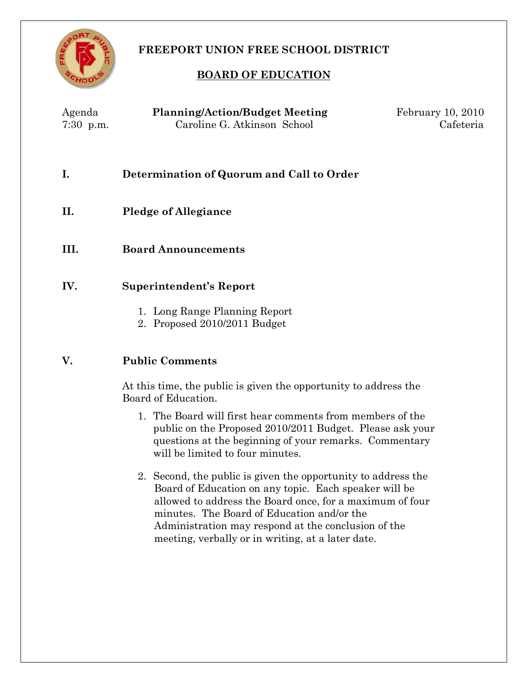

# **FREEPORT UNION FREE SCHOOL DISTRICT**

## **BOARD OF EDUCATION**

| Agenda<br>$7:30$ p.m. | <b>Planning/Action/Budget Meeting</b><br>Caroline G. Atkinson School | February 10, 2010<br>Cafeteria |
|-----------------------|----------------------------------------------------------------------|--------------------------------|
|                       | Determination of Quorum and Call to Order                            |                                |
| П.                    | <b>Pledge of Allegiance</b>                                          |                                |

**III. Board Announcements**

## **IV. Superintendent's Report**

- 1. Long Range Planning Report
- 2. Proposed 2010/2011 Budget

## **V. Public Comments**

At this time, the public is given the opportunity to address the Board of Education.

- 1. The Board will first hear comments from members of the public on the Proposed 2010/2011 Budget. Please ask your questions at the beginning of your remarks. Commentary will be limited to four minutes.
- 2. Second, the public is given the opportunity to address the Board of Education on any topic. Each speaker will be allowed to address the Board once, for a maximum of four minutes. The Board of Education and/or the Administration may respond at the conclusion of the meeting, verbally or in writing, at a later date.